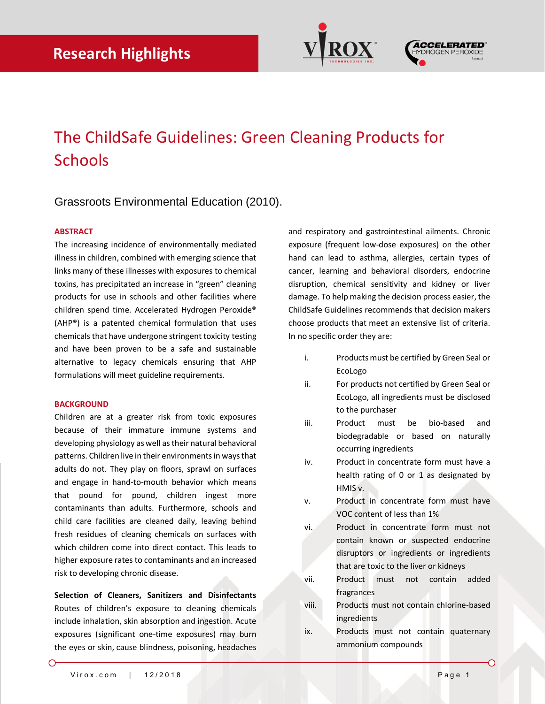



# The ChildSafe Guidelines: Green Cleaning Products for **Schools**

## Grassroots Environmental Education (2010).

### **ABSTRACT**

The increasing incidence of environmentally mediated illness in children, combined with emerging science that links many of these illnesses with exposures to chemical toxins, has precipitated an increase in "green" cleaning products for use in schools and other facilities where children spend time. Accelerated Hydrogen Peroxide® (AHP®) is a patented chemical formulation that uses chemicals that have undergone stringent toxicity testing and have been proven to be a safe and sustainable alternative to legacy chemicals ensuring that AHP formulations will meet guideline requirements.

### **BACKGROUND**

Children are at a greater risk from toxic exposures because of their immature immune systems and developing physiology as well as their natural behavioral patterns. Children live in their environments in ways that adults do not. They play on floors, sprawl on surfaces and engage in hand-to-mouth behavior which means that pound for pound, children ingest more contaminants than adults. Furthermore, schools and child care facilities are cleaned daily, leaving behind fresh residues of cleaning chemicals on surfaces with which children come into direct contact. This leads to higher exposure rates to contaminants and an increased risk to developing chronic disease.

**Selection of Cleaners, Sanitizers and Disinfectants** Routes of children's exposure to cleaning chemicals include inhalation, skin absorption and ingestion. Acute exposures (significant one-time exposures) may burn the eyes or skin, cause blindness, poisoning, headaches and respiratory and gastrointestinal ailments. Chronic exposure (frequent low-dose exposures) on the other hand can lead to asthma, allergies, certain types of cancer, learning and behavioral disorders, endocrine disruption, chemical sensitivity and kidney or liver damage. To help making the decision process easier, the ChildSafe Guidelines recommends that decision makers choose products that meet an extensive list of criteria. In no specific order they are:

- i. Products must be certified by Green Seal or EcoLogo
- ii. For products not certified by Green Seal or EcoLogo, all ingredients must be disclosed to the purchaser
- iii. Product must be bio-based and biodegradable or based on naturally occurring ingredients
- iv. Product in concentrate form must have a health rating of 0 or 1 as designated by HMIS v.
- v. Product in concentrate form must have VOC content of less than 1%
- vi. Product in concentrate form must not contain known or suspected endocrine disruptors or ingredients or ingredients that are toxic to the liver or kidneys
- vii. Product must not contain added fragrances
- viii. Products must not contain chlorine-based ingredients
- ix. Products must not contain quaternary ammonium compounds

∩

↶